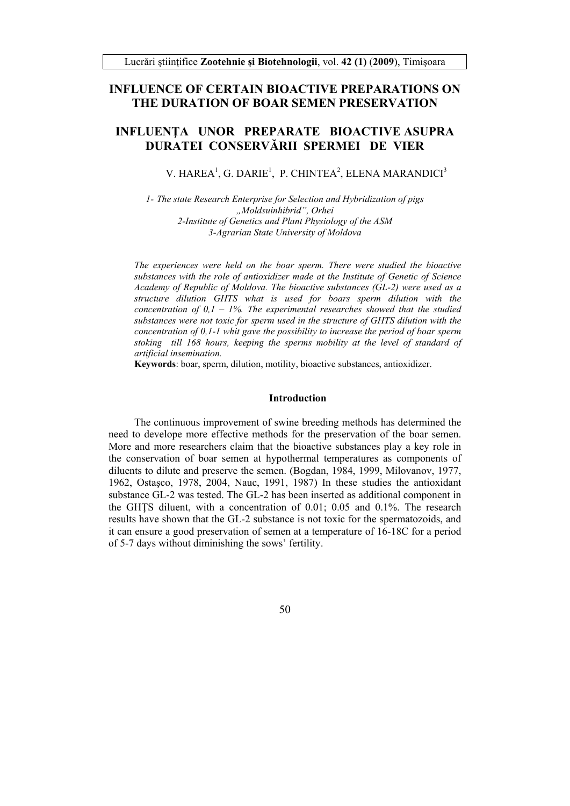## **INFLUENCE OF CERTAIN BIOACTIVE PREPARATIONS ON THE DURATION OF BOAR SEMEN PRESERVATION**

# **INFLUENŢA UNOR PREPARATE BIOACTIVE ASUPRA DURATEI CONSERVĂRII SPERMEI DE VIER**

V. HAREA<sup>1</sup>, G. DARIE<sup>1</sup>, P. CHINTEA<sup>2</sup>, ELENA MARANDICI<sup>3</sup>

*1- The state Research Enterprise for Selection and Hybridization of pigs "Moldsuinhibrid", Orhei 2-Institute of Genetics and Plant Physiology of the ASM 3-Agrarian State University of Moldova* 

*The experiences were held on the boar sperm. There were studied the bioactive substances with the role of antioxidizer made at the Institute of Genetic of Science Academy of Republic of Moldova. The bioactive substances (GL-2) were used as a structure dilution GHTS what is used for boars sperm dilution with the concentration of 0,1 – 1%. The experimental researches showed that the studied substances were not toxic for sperm used in the structure of GHTS dilution with the concentration of 0,1-1 whit gave the possibility to increase the period of boar sperm*  stoking till 168 hours, keeping the sperms mobility at the level of standard of *artificial insemination.* 

**Keywords**: boar, sperm, dilution, motility, bioactive substances, antioxidizer.

#### **Introduction**

The continuous improvement of swine breeding methods has determined the need to develope more effective methods for the preservation of the boar semen. More and more researchers claim that the bioactive substances play a key role in the conservation of boar semen at hypothermal temperatures as components of diluents to dilute and preserve the semen. (Bogdan, 1984, 1999, Milovanov, 1977, 1962, Ostaşco, 1978, 2004, Nauc, 1991, 1987) In these studies the antioxidant substance GL-2 was tested. The GL-2 has been inserted as additional component in the GHŢS diluent, with a concentration of 0.01; 0.05 and 0.1%. The research results have shown that the GL-2 substance is not toxic for the spermatozoids, and it can ensure a good preservation of semen at a temperature of 16-18C for a period of 5-7 days without diminishing the sows' fertility.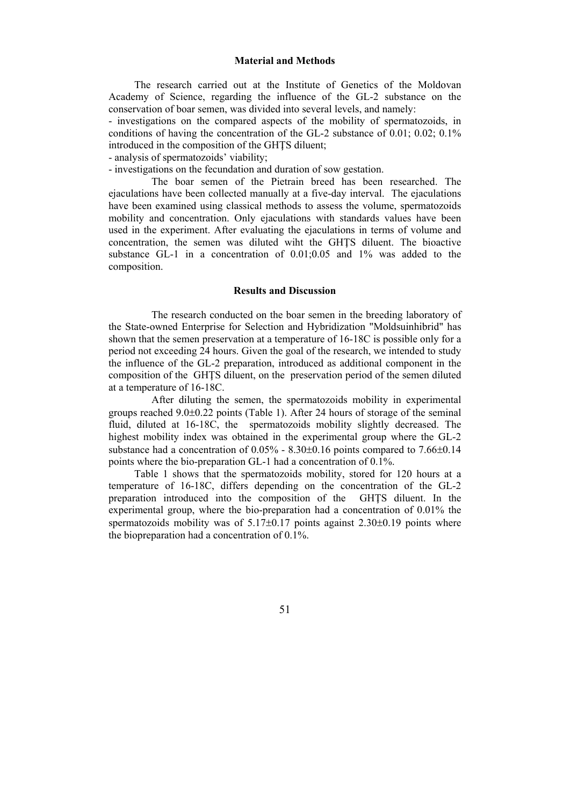### **Material and Methods**

The research carried out at the Institute of Genetics of the Moldovan Academy of Science, regarding the influence of the GL-2 substance on the conservation of boar semen, was divided into several levels, and namely:

- investigations on the compared aspects of the mobility of spermatozoids, in conditions of having the concentration of the GL-2 substance of 0.01; 0.02; 0.1% introduced in the composition of the GHTS diluent:

- analysis of spermatozoids' viability;

- investigations on the fecundation and duration of sow gestation.

The boar semen of the Pietrain breed has been researched. The ejaculations have been collected manually at a five-day interval. The ejaculations have been examined using classical methods to assess the volume, spermatozoids mobility and concentration. Only ejaculations with standards values have been used in the experiment. After evaluating the ejaculations in terms of volume and concentration, the semen was diluted wiht the GHŢS diluent. The bioactive substance GL-1 in a concentration of 0.01;0.05 and 1% was added to the composition.

### **Results and Discussion**

The research conducted on the boar semen in the breeding laboratory of the State-owned Enterprise for Selection and Hybridization "Moldsuinhibrid" has shown that the semen preservation at a temperature of 16-18C is possible only for a period not exceeding 24 hours. Given the goal of the research, we intended to study the influence of the GL-2 preparation, introduced as additional component in the composition of the GHŢS diluent, on the preservation period of the semen diluted at a temperature of 16-18C.

After diluting the semen, the spermatozoids mobility in experimental groups reached  $9.0\pm0.22$  points (Table 1). After 24 hours of storage of the seminal fluid, diluted at 16-18C, the spermatozoids mobility slightly decreased. The highest mobility index was obtained in the experimental group where the GL-2 substance had a concentration of  $0.05\%$  -  $8.30\pm0.16$  points compared to  $7.66\pm0.14$ points where the bio-preparation GL-1 had a concentration of 0.1%.

Table 1 shows that the spermatozoids mobility, stored for 120 hours at a temperature of 16-18C, differs depending on the concentration of the GL-2 preparation introduced into the composition of the GHŢS diluent. In the experimental group, where the bio-preparation had a concentration of 0.01% the spermatozoids mobility was of  $5.17\pm0.17$  points against  $2.30\pm0.19$  points where the biopreparation had a concentration of 0.1%.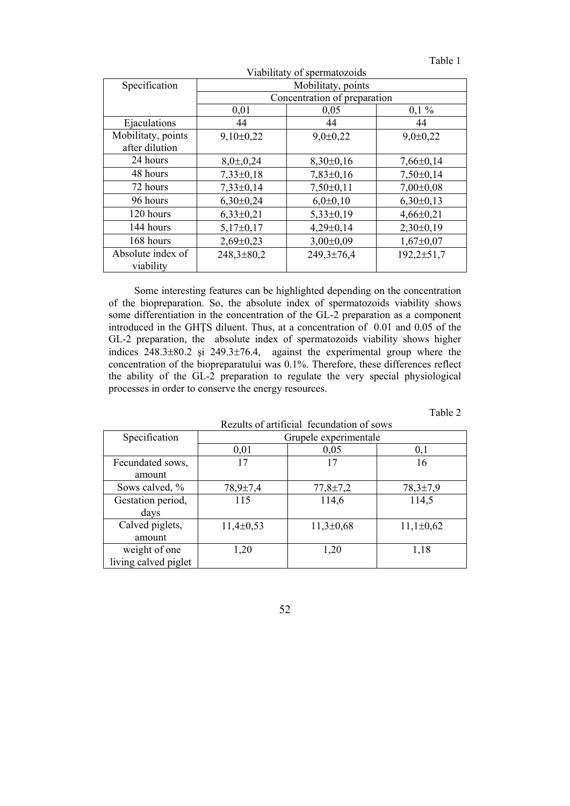| aп |  |
|----|--|

| Viabilitaty of spermatozoids         |                              |                |                  |  |  |
|--------------------------------------|------------------------------|----------------|------------------|--|--|
| Specification                        | Mobilitaty, points           |                |                  |  |  |
|                                      | Concentration of preparation |                |                  |  |  |
|                                      | 0,01                         | 0,05           | $0,1\%$          |  |  |
| Ejaculations                         | 44                           | 44             | 44               |  |  |
| Mobilitaty, points<br>after dilution | $9,10\pm0,22$                | $9,0 \pm 0,22$ | $9,0 \pm 0,22$   |  |  |
| 24 hours                             | $8,0\pm,0,24$                | $8,30\pm0,16$  | $7,66\pm0,14$    |  |  |
| 48 hours                             | $7,33\pm0,18$                | $7,83\pm0,16$  | $7,50\pm0,14$    |  |  |
| 72 hours                             | $7,33\pm0,14$                | $7,50\pm0,11$  | $7,00\pm0.08$    |  |  |
| 96 hours                             | $6,30\pm0,24$                | $6,0{\pm}0,10$ | $6,30\pm0,13$    |  |  |
| 120 hours                            | $6,33\pm0,21$                | $5,33\pm0,19$  | $4,66\pm0,21$    |  |  |
| 144 hours                            | $5,17\pm0,17$                | $4,29\pm0,14$  | $2,30\pm0,19$    |  |  |
| 168 hours                            | $2,69\pm0,23$                | $3,00\pm0,09$  | $1,67\pm0,07$    |  |  |
| Absolute index of<br>viability       | $248,3 \pm 80,2$             | 249,3±76,4     | $192,2 \pm 51,7$ |  |  |

Some interesting features can be highlighted depending on the concentration of the biopreparation. So, the absolute index of spermatozoids viability shows some differentiation in the concentration of the GL-2 preparation as a component introduced in the GHŢS diluent. Thus, at a concentration of 0.01 and 0.05 of the GL-2 preparation, the absolute index of spermatozoids viability shows higher indices  $248.3\pm80.2$  si  $249.3\pm76.4$ , against the experimental group where the concentration of the biopreparatului was 0.1%. Therefore, these differences reflect the ability of the GL-2 preparation to regulate the very special physiological processes in order to conserve the energy resources.

Table 2

| Rezults of artificial fecundation of sows |                       |                |                |  |
|-------------------------------------------|-----------------------|----------------|----------------|--|
| Specification                             | Grupele experimentale |                |                |  |
|                                           | 0,01                  | 0,05           | 0,1            |  |
| Fecundated sows,                          | 17                    |                | 16             |  |
| amount                                    |                       |                |                |  |
| Sows calved, %                            | $78,9{\pm}7,4$        | $77,8 \pm 7,2$ | $78,3{\pm}7,9$ |  |
| Gestation period,                         | 115                   | 114,6          | 114,5          |  |
| days                                      |                       |                |                |  |
| Calved piglets,                           | $11,4\pm 0,53$        | $11,3\pm0,68$  | $11,1\pm0,62$  |  |
| amount                                    |                       |                |                |  |
| weight of one                             | 1,20                  | 1,20           | 1,18           |  |
| living calved piglet                      |                       |                |                |  |